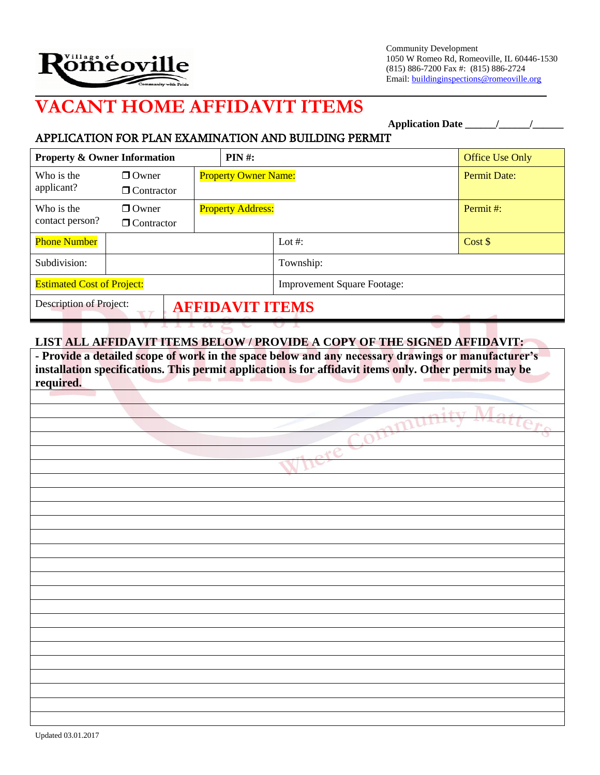

Community Development 1050 W Romeo Rd, Romeoville, IL 60446-1530 (815) 886-7200 Fax #: (815) 886-2724 Email: buildinginspections@romeoville.org

# **VACANT HOME AFFIDAVIT ITEMS**

**Application Date \_\_\_\_\_\_/\_\_\_\_\_\_/\_\_\_\_\_\_**

## APPLICATION FOR PLAN EXAMINATION AND BUILDING PERMIT

| <b>Property &amp; Owner Information</b>           |                   |                             | PIN#:                    |                                    | Office Use Only     |
|---------------------------------------------------|-------------------|-----------------------------|--------------------------|------------------------------------|---------------------|
| Who is the                                        | $\Box$ Owner      | <b>Property Owner Name:</b> |                          |                                    | <b>Permit Date:</b> |
| applicant?                                        | $\Box$ Contractor |                             |                          |                                    |                     |
| Who is the                                        | $\Box$ Owner      |                             | <b>Property Address:</b> |                                    | Permit #:           |
| contact person?                                   | $\Box$ Contractor |                             |                          |                                    |                     |
| <b>Phone Number</b>                               |                   |                             | Lot #:                   | Cost \$                            |                     |
| Subdivision:                                      |                   |                             | Township:                |                                    |                     |
| <b>Estimated Cost of Project:</b>                 |                   |                             |                          | <b>Improvement Square Footage:</b> |                     |
| Description of Project:<br><b>AFFIDAVIT ITEMS</b> |                   |                             |                          |                                    |                     |

## **LIST ALL AFFIDAVIT ITEMS BELOW / PROVIDE A COPY OF THE SIGNED AFFIDAVIT:**

**- Provide a detailed scope of work in the space below and any necessary drawings or manufacturer's installation specifications. This permit application is for affidavit items only. Other permits may be required.**

W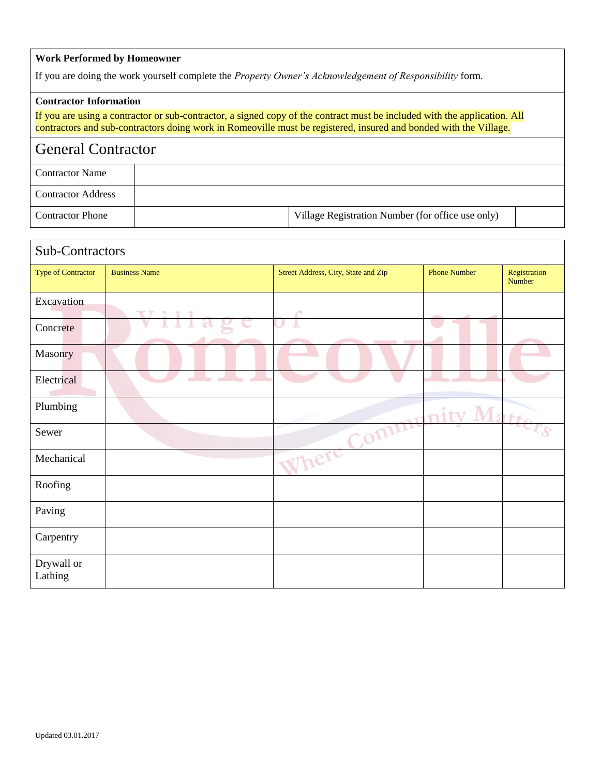#### **Work Performed by Homeowner**

If you are doing the work yourself complete the *Property Owner's Acknowledgement of Responsibility* form.

#### **Contractor Information**

If you are using a contractor or sub-contractor, a signed copy of the contract must be included with the application. All contractors and sub-contractors doing work in Romeoville must be registered, insured and bonded with the Village.

# General Contractor

| <b>Contractor Name</b>    |                                                   |  |
|---------------------------|---------------------------------------------------|--|
| <b>Contractor Address</b> |                                                   |  |
| <b>Contractor Phone</b>   | Village Registration Number (for office use only) |  |

| Sub-Contractors       |                        |                                     |                     |                        |
|-----------------------|------------------------|-------------------------------------|---------------------|------------------------|
| Type of Contractor    | <b>Business Name</b>   | Street Address, City, State and Zip | <b>Phone Number</b> | Registration<br>Number |
| Excavation            | <b>T7:1</b>            | P                                   |                     |                        |
| Concrete              | $\mathbb T$<br>2l<br>V |                                     |                     |                        |
| Masonry               |                        |                                     |                     |                        |
| Electrical            |                        |                                     |                     |                        |
| Plumbing              |                        |                                     | $n$ ity Ma          |                        |
| Sewer                 |                        | Com                                 |                     |                        |
| Mechanical            |                        | Where                               |                     |                        |
| Roofing               |                        |                                     |                     |                        |
| Paving                |                        |                                     |                     |                        |
| Carpentry             |                        |                                     |                     |                        |
| Drywall or<br>Lathing |                        |                                     |                     |                        |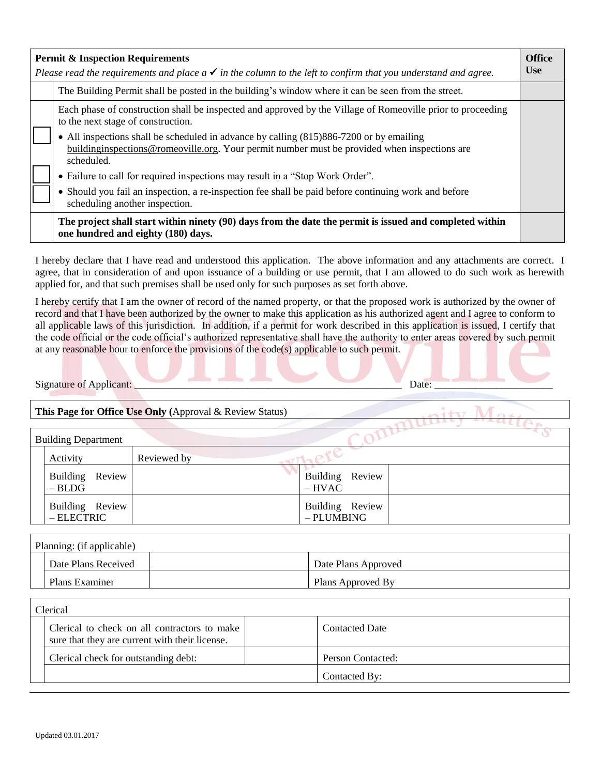| <b>Permit &amp; Inspection Requirements</b><br>Please read the requirements and place $a \checkmark$ in the column to the left to confirm that you understand and agree. |                                                                                                                                                                                                                                                                                                                                                                                                                                                                                                                                                                                       |  |
|--------------------------------------------------------------------------------------------------------------------------------------------------------------------------|---------------------------------------------------------------------------------------------------------------------------------------------------------------------------------------------------------------------------------------------------------------------------------------------------------------------------------------------------------------------------------------------------------------------------------------------------------------------------------------------------------------------------------------------------------------------------------------|--|
|                                                                                                                                                                          | The Building Permit shall be posted in the building's window where it can be seen from the street.                                                                                                                                                                                                                                                                                                                                                                                                                                                                                    |  |
|                                                                                                                                                                          | Each phase of construction shall be inspected and approved by the Village of Romeoville prior to proceeding<br>to the next stage of construction.<br>• All inspections shall be scheduled in advance by calling (815)886-7200 or by emailing<br>buildinginspections@romeoville.org. Your permit number must be provided when inspections are<br>scheduled.<br>• Failure to call for required inspections may result in a "Stop Work Order".<br>• Should you fail an inspection, a re-inspection fee shall be paid before continuing work and before<br>scheduling another inspection. |  |
|                                                                                                                                                                          | The project shall start within ninety (90) days from the date the permit is issued and completed within<br>one hundred and eighty (180) days.                                                                                                                                                                                                                                                                                                                                                                                                                                         |  |

I hereby declare that I have read and understood this application. The above information and any attachments are correct. I agree, that in consideration of and upon issuance of a building or use permit, that I am allowed to do such work as herewith applied for, and that such premises shall be used only for such purposes as set forth above.

I hereby certify that I am the owner of record of the named property, or that the proposed work is authorized by the owner of record and that I have been authorized by the owner to make this application as his authorized agent and I agree to conform to all applicable laws of this jurisdiction. In addition, if a permit for work described in this application is issued, I certify that the code official or the code official's authorized representative shall have the authority to enter areas covered by such permit at any reasonable hour to enforce the provisions of the code(s) applicable to such permit.

Signature of Applicant: \_\_\_\_\_\_\_\_\_\_\_\_\_\_\_\_\_\_\_\_\_\_\_\_\_\_\_\_\_\_\_\_\_\_\_\_\_\_\_\_\_\_\_\_\_\_\_\_\_\_\_\_ Date: \_\_\_\_\_\_\_\_\_\_\_\_\_\_\_\_\_\_\_\_\_\_\_

### **This Page for Office Use Only (**Approval & Review Status)

| <b>Building Department</b>      |             |                               |  |
|---------------------------------|-------------|-------------------------------|--|
| Activity                        | Reviewed by |                               |  |
| Building Review<br>$-BLDG$      |             | Building Review<br>$-HVAC$    |  |
| Building Review<br>$-$ ELECTRIC |             | Building Review<br>- PLUMBING |  |

| Planning: (if applicable) |  |                     |  |  |  |
|---------------------------|--|---------------------|--|--|--|
| Date Plans Received       |  | Date Plans Approved |  |  |  |
| Plans Examiner            |  | Plans Approved By   |  |  |  |

| Clerical                                                                                       |  |                       |  |  |
|------------------------------------------------------------------------------------------------|--|-----------------------|--|--|
| Clerical to check on all contractors to make<br>sure that they are current with their license. |  | <b>Contacted Date</b> |  |  |
| Clerical check for outstanding debt:                                                           |  | Person Contacted:     |  |  |
|                                                                                                |  | Contacted By:         |  |  |